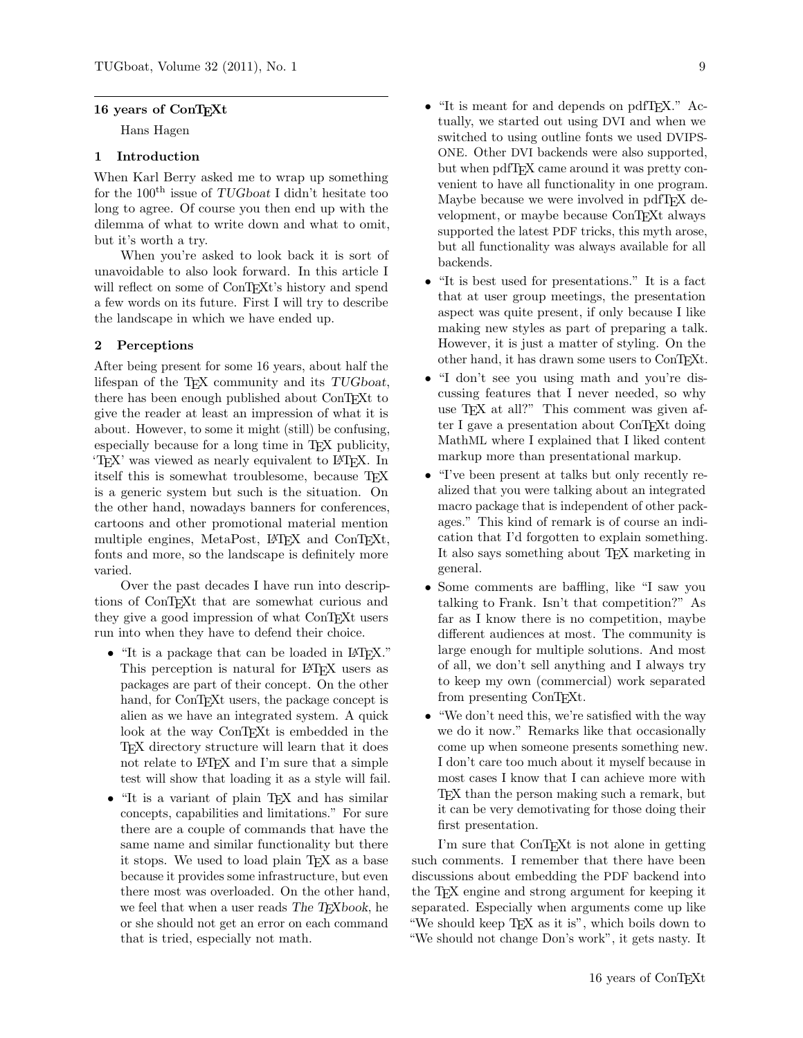## 16 years of ConT<sub>EXt</sub>

Hans Hagen

# 1 Introduction

When Karl Berry asked me to wrap up something for the  $100<sup>th</sup>$  issue of TUGboat I didn't hesitate too long to agree. Of course you then end up with the dilemma of what to write down and what to omit, but it's worth a try.

When you're asked to look back it is sort of unavoidable to also look forward. In this article I will reflect on some of ConT<sub>E</sub>Xt's history and spend a few words on its future. First I will try to describe the landscape in which we have ended up.

## 2 Perceptions

After being present for some 16 years, about half the lifespan of the TEX community and its TUGboat, there has been enough published about ConTEXt to give the reader at least an impression of what it is about. However, to some it might (still) be confusing, especially because for a long time in TEX publicity, 'TEX' was viewed as nearly equivalent to LATEX. In itself this is somewhat troublesome, because TEX is a generic system but such is the situation. On the other hand, nowadays banners for conferences, cartoons and other promotional material mention multiple engines, MetaPost, LAT<sub>EX</sub> and ConT<sub>EXt</sub>, fonts and more, so the landscape is definitely more varied.

Over the past decades I have run into descriptions of ConTEXt that are somewhat curious and they give a good impression of what ConTEXt users run into when they have to defend their choice.

- "It is a package that can be loaded in LATFX." This perception is natural for LAT<sub>E</sub>X users as packages are part of their concept. On the other hand, for ConT<sub>E</sub>X<sup>t</sup> users, the package concept is alien as we have an integrated system. A quick look at the way ConTEXt is embedded in the TEX directory structure will learn that it does not relate to LAT<sub>F</sub>X and I'm sure that a simple test will show that loading it as a style will fail.
- "It is a variant of plain T<sub>E</sub>X and has similar concepts, capabilities and limitations." For sure there are a couple of commands that have the same name and similar functionality but there it stops. We used to load plain TEX as a base because it provides some infrastructure, but even there most was overloaded. On the other hand, we feel that when a user reads The TEXbook, he or she should not get an error on each command that is tried, especially not math.
- "It is meant for and depends on pdfT<sub>E</sub>X." Actually, we started out using DVI and when we switched to using outline fonts we used DVIPS-ONE. Other DVI backends were also supported, but when pdfT<sub>F</sub>X came around it was pretty convenient to have all functionality in one program. Maybe because we were involved in pdfTFX development, or maybe because ConTEXt always supported the latest PDF tricks, this myth arose, but all functionality was always available for all backends.
- "It is best used for presentations." It is a fact that at user group meetings, the presentation aspect was quite present, if only because I like making new styles as part of preparing a talk. However, it is just a matter of styling. On the other hand, it has drawn some users to ConTEXt.
- "I don't see you using math and you're discussing features that I never needed, so why use TEX at all?" This comment was given after I gave a presentation about ConTEXt doing MathML where I explained that I liked content markup more than presentational markup.
- "I've been present at talks but only recently realized that you were talking about an integrated macro package that is independent of other packages." This kind of remark is of course an indication that I'd forgotten to explain something. It also says something about TFX marketing in general.
- Some comments are baffling, like "I saw you talking to Frank. Isn't that competition?" As far as I know there is no competition, maybe different audiences at most. The community is large enough for multiple solutions. And most of all, we don't sell anything and I always try to keep my own (commercial) work separated from presenting ConTEXt.
- "We don't need this, we're satisfied with the way we do it now." Remarks like that occasionally come up when someone presents something new. I don't care too much about it myself because in most cases I know that I can achieve more with TEX than the person making such a remark, but it can be very demotivating for those doing their first presentation.

I'm sure that ConTEXt is not alone in getting such comments. I remember that there have been discussions about embedding the PDF backend into the TEX engine and strong argument for keeping it separated. Especially when arguments come up like "We should keep T<sub>E</sub>X as it is", which boils down to "We should not change Don's work", it gets nasty. It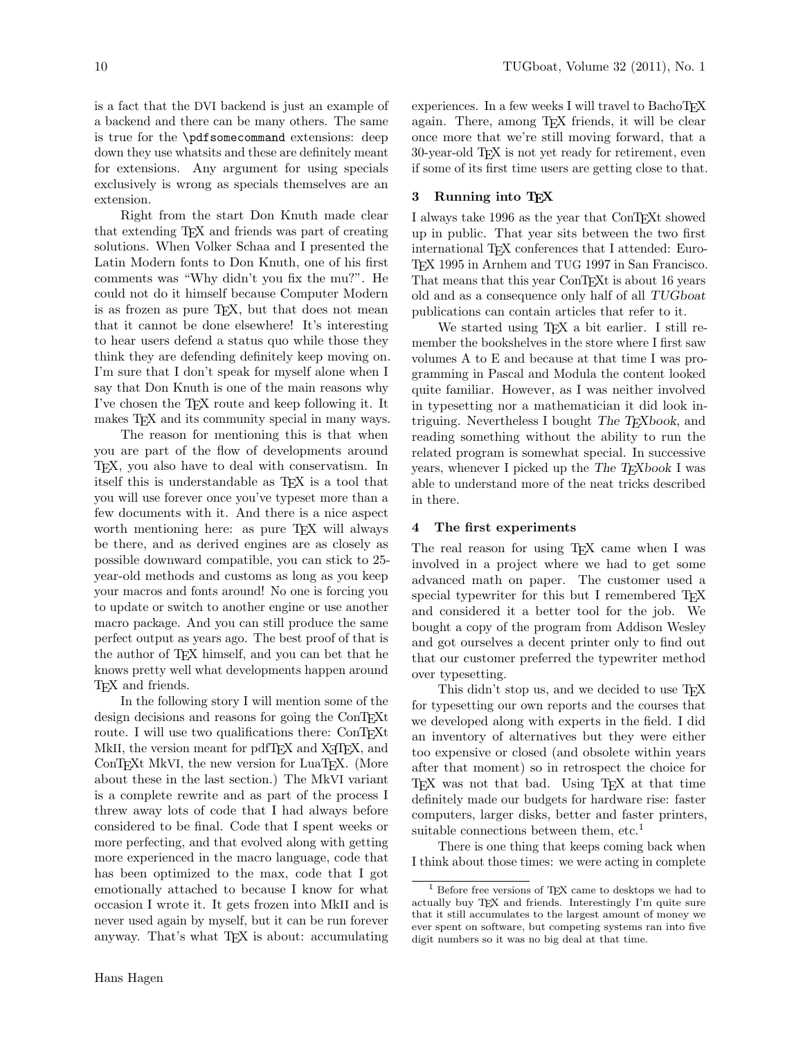is a fact that the DVI backend is just an example of a backend and there can be many others. The same is true for the \pdfsomecommand extensions: deep down they use whatsits and these are definitely meant for extensions. Any argument for using specials exclusively is wrong as specials themselves are an extension.

Right from the start Don Knuth made clear that extending TEX and friends was part of creating solutions. When Volker Schaa and I presented the Latin Modern fonts to Don Knuth, one of his first comments was "Why didn't you fix the mu?". He could not do it himself because Computer Modern is as frozen as pure TEX, but that does not mean that it cannot be done elsewhere! It's interesting to hear users defend a status quo while those they think they are defending definitely keep moving on. I'm sure that I don't speak for myself alone when I say that Don Knuth is one of the main reasons why I've chosen the TEX route and keep following it. It makes T<sub>F</sub>X and its community special in many ways.

The reason for mentioning this is that when you are part of the flow of developments around TEX, you also have to deal with conservatism. In itself this is understandable as TEX is a tool that you will use forever once you've typeset more than a few documents with it. And there is a nice aspect worth mentioning here: as pure T<sub>EX</sub> will always be there, and as derived engines are as closely as possible downward compatible, you can stick to 25 year-old methods and customs as long as you keep your macros and fonts around! No one is forcing you to update or switch to another engine or use another macro package. And you can still produce the same perfect output as years ago. The best proof of that is the author of TEX himself, and you can bet that he knows pretty well what developments happen around TEX and friends.

In the following story I will mention some of the design decisions and reasons for going the ConTEXt route. I will use two qualifications there: ConTEXt MkII, the version meant for pdfTEX and X<sub>T</sub>TEX, and ConTEXt MkVI, the new version for LuaTEX. (More about these in the last section.) The MkVI variant is a complete rewrite and as part of the process I threw away lots of code that I had always before considered to be final. Code that I spent weeks or more perfecting, and that evolved along with getting more experienced in the macro language, code that has been optimized to the max, code that I got emotionally attached to because I know for what occasion I wrote it. It gets frozen into MkII and is never used again by myself, but it can be run forever anyway. That's what TEX is about: accumulating

experiences. In a few weeks I will travel to BachoTEX again. There, among TEX friends, it will be clear once more that we're still moving forward, that a 30-year-old TEX is not yet ready for retirement, even if some of its first time users are getting close to that.

## 3 Running into TFX

I always take 1996 as the year that ConTEXt showed up in public. That year sits between the two first international TEX conferences that I attended: Euro-TEX 1995 in Arnhem and TUG 1997 in San Francisco. That means that this year ConTEXt is about 16 years old and as a consequence only half of all TUGboat publications can contain articles that refer to it.

We started using T<sub>E</sub>X a bit earlier. I still remember the bookshelves in the store where I first saw volumes A to E and because at that time I was programming in Pascal and Modula the content looked quite familiar. However, as I was neither involved in typesetting nor a mathematician it did look intriguing. Nevertheless I bought The T<sub>E</sub>Xbook, and reading something without the ability to run the related program is somewhat special. In successive years, whenever I picked up the The T<sub>E</sub>Xbook I was able to understand more of the neat tricks described in there.

#### 4 The first experiments

The real reason for using T<sub>EX</sub> came when I was involved in a project where we had to get some advanced math on paper. The customer used a special typewriter for this but I remembered T<sub>E</sub>X and considered it a better tool for the job. We bought a copy of the program from Addison Wesley and got ourselves a decent printer only to find out that our customer preferred the typewriter method over typesetting.

This didn't stop us, and we decided to use T<sub>E</sub>X for typesetting our own reports and the courses that we developed along with experts in the field. I did an inventory of alternatives but they were either too expensive or closed (and obsolete within years after that moment) so in retrospect the choice for TEX was not that bad. Using TEX at that time definitely made our budgets for hardware rise: faster computers, larger disks, better and faster printers, suitable connections between them, etc.<sup>1</sup>

There is one thing that keeps coming back when I think about those times: we were acting in complete

 $1$  Before free versions of TFX came to desktops we had to actually buy TEX and friends. Interestingly I'm quite sure that it still accumulates to the largest amount of money we ever spent on software, but competing systems ran into five digit numbers so it was no big deal at that time.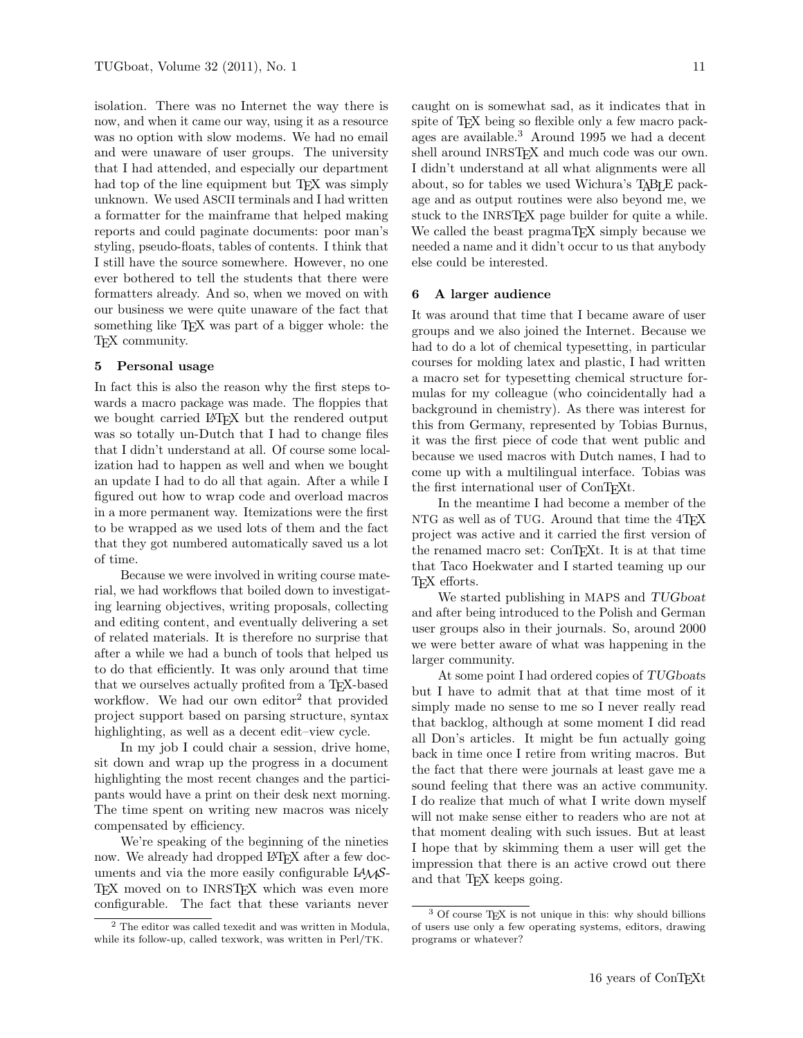isolation. There was no Internet the way there is now, and when it came our way, using it as a resource was no option with slow modems. We had no email and were unaware of user groups. The university that I had attended, and especially our department had top of the line equipment but T<sub>EX</sub> was simply unknown. We used ASCII terminals and I had written a formatter for the mainframe that helped making reports and could paginate documents: poor man's styling, pseudo-floats, tables of contents. I think that I still have the source somewhere. However, no one ever bothered to tell the students that there were formatters already. And so, when we moved on with our business we were quite unaware of the fact that something like T<sub>EX</sub> was part of a bigger whole: the TEX community.

## 5 Personal usage

In fact this is also the reason why the first steps towards a macro package was made. The floppies that we bought carried LAT<sub>EX</sub> but the rendered output was so totally un-Dutch that I had to change files that I didn't understand at all. Of course some localization had to happen as well and when we bought an update I had to do all that again. After a while I figured out how to wrap code and overload macros in a more permanent way. Itemizations were the first to be wrapped as we used lots of them and the fact that they got numbered automatically saved us a lot of time.

Because we were involved in writing course material, we had workflows that boiled down to investigating learning objectives, writing proposals, collecting and editing content, and eventually delivering a set of related materials. It is therefore no surprise that after a while we had a bunch of tools that helped us to do that efficiently. It was only around that time that we ourselves actually profited from a TEX-based workflow. We had our own editor<sup>2</sup> that provided project support based on parsing structure, syntax highlighting, as well as a decent edit–view cycle.

In my job I could chair a session, drive home, sit down and wrap up the progress in a document highlighting the most recent changes and the participants would have a print on their desk next morning. The time spent on writing new macros was nicely compensated by efficiency.

We're speaking of the beginning of the nineties now. We already had dropped LAT<sub>EX</sub> after a few documents and via the more easily configurable  $L^4M\mathcal{S}$ -TEX moved on to INRSTEX which was even more configurable. The fact that these variants never

caught on is somewhat sad, as it indicates that in spite of T<sub>E</sub>X being so flexible only a few macro packages are available.<sup>3</sup> Around 1995 we had a decent shell around INRSTFX and much code was our own. I didn't understand at all what alignments were all about, so for tables we used Wichura's TABLE package and as output routines were also beyond me, we stuck to the INRSTEX page builder for quite a while. We called the beast pragmaT<sub>EX</sub> simply because we needed a name and it didn't occur to us that anybody else could be interested.

#### 6 A larger audience

It was around that time that I became aware of user groups and we also joined the Internet. Because we had to do a lot of chemical typesetting, in particular courses for molding latex and plastic, I had written a macro set for typesetting chemical structure formulas for my colleague (who coincidentally had a background in chemistry). As there was interest for this from Germany, represented by Tobias Burnus, it was the first piece of code that went public and because we used macros with Dutch names, I had to come up with a multilingual interface. Tobias was the first international user of ConTEXt.

In the meantime I had become a member of the NTG as well as of TUG. Around that time the  $4TFX$ project was active and it carried the first version of the renamed macro set: ConTEXt. It is at that time that Taco Hoekwater and I started teaming up our T<sub>F</sub>X efforts.

We started publishing in MAPS and TUGboat and after being introduced to the Polish and German user groups also in their journals. So, around 2000 we were better aware of what was happening in the larger community.

At some point I had ordered copies of TUGboats but I have to admit that at that time most of it simply made no sense to me so I never really read that backlog, although at some moment I did read all Don's articles. It might be fun actually going back in time once I retire from writing macros. But the fact that there were journals at least gave me a sound feeling that there was an active community. I do realize that much of what I write down myself will not make sense either to readers who are not at that moment dealing with such issues. But at least I hope that by skimming them a user will get the impression that there is an active crowd out there and that T<sub>E</sub>X keeps going.

<sup>2</sup> The editor was called texedit and was written in Modula, while its follow-up, called texwork, was written in Perl/TK.

<sup>&</sup>lt;sup>3</sup> Of course T<sub>E</sub>X is not unique in this: why should billions of users use only a few operating systems, editors, drawing programs or whatever?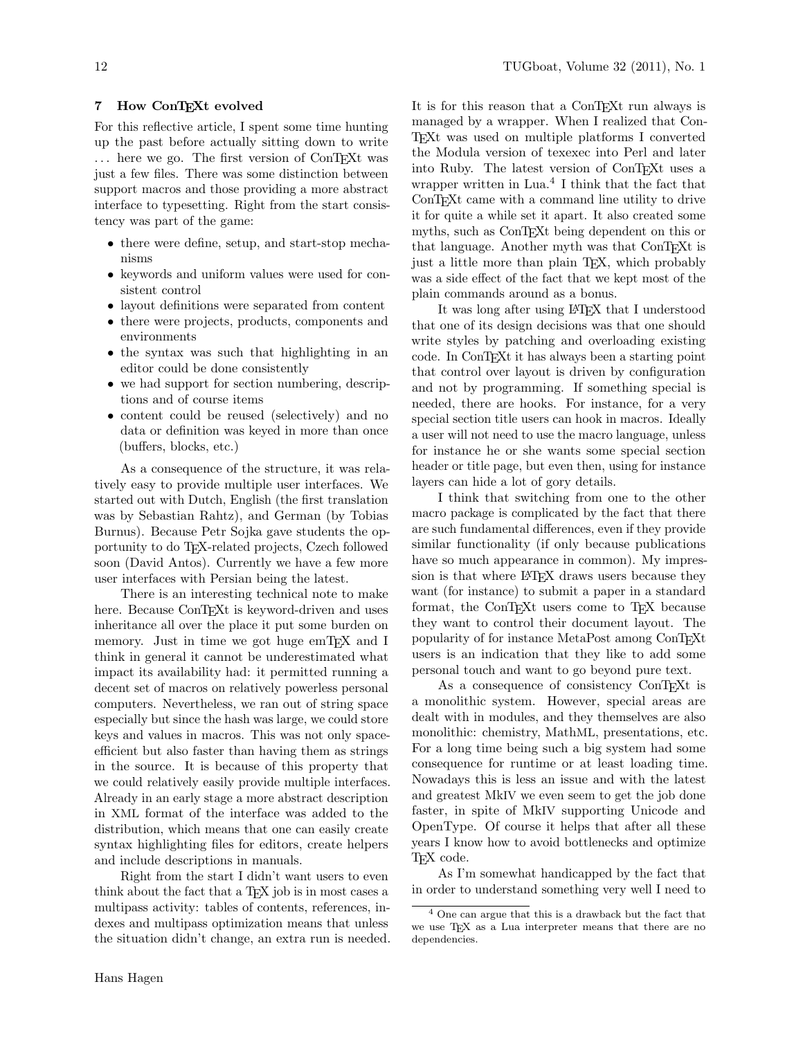#### 7 How ConTFXt evolved

For this reflective article, I spent some time hunting up the past before actually sitting down to write ... here we go. The first version of ConTEXt was just a few files. There was some distinction between support macros and those providing a more abstract interface to typesetting. Right from the start consistency was part of the game:

- there were define, setup, and start-stop mechanisms
- keywords and uniform values were used for consistent control
- layout definitions were separated from content
- there were projects, products, components and environments
- the syntax was such that highlighting in an editor could be done consistently
- we had support for section numbering, descriptions and of course items
- content could be reused (selectively) and no data or definition was keyed in more than once (buffers, blocks, etc.)

As a consequence of the structure, it was relatively easy to provide multiple user interfaces. We started out with Dutch, English (the first translation was by Sebastian Rahtz), and German (by Tobias Burnus). Because Petr Sojka gave students the opportunity to do TEX-related projects, Czech followed soon (David Antos). Currently we have a few more user interfaces with Persian being the latest.

There is an interesting technical note to make here. Because ConTEXt is keyword-driven and uses inheritance all over the place it put some burden on memory. Just in time we got huge emTEX and I think in general it cannot be underestimated what impact its availability had: it permitted running a decent set of macros on relatively powerless personal computers. Nevertheless, we ran out of string space especially but since the hash was large, we could store keys and values in macros. This was not only spaceefficient but also faster than having them as strings in the source. It is because of this property that we could relatively easily provide multiple interfaces. Already in an early stage a more abstract description in XML format of the interface was added to the distribution, which means that one can easily create syntax highlighting files for editors, create helpers and include descriptions in manuals.

Right from the start I didn't want users to even think about the fact that a T<sub>E</sub>X job is in most cases a multipass activity: tables of contents, references, indexes and multipass optimization means that unless the situation didn't change, an extra run is needed.

It is for this reason that a ConTEXt run always is managed by a wrapper. When I realized that Con-TEXt was used on multiple platforms I converted the Modula version of texexec into Perl and later into Ruby. The latest version of ConTEXt uses a wrapper written in Lua.<sup>4</sup> I think that the fact that ConT<sub>E</sub>X<sup>t</sup> came with a command line utility to drive it for quite a while set it apart. It also created some myths, such as ConTEXt being dependent on this or that language. Another myth was that ConTEXt is just a little more than plain TEX, which probably was a side effect of the fact that we kept most of the plain commands around as a bonus.

It was long after using LATEX that I understood that one of its design decisions was that one should write styles by patching and overloading existing code. In ConTEXt it has always been a starting point that control over layout is driven by configuration and not by programming. If something special is needed, there are hooks. For instance, for a very special section title users can hook in macros. Ideally a user will not need to use the macro language, unless for instance he or she wants some special section header or title page, but even then, using for instance layers can hide a lot of gory details.

I think that switching from one to the other macro package is complicated by the fact that there are such fundamental differences, even if they provide similar functionality (if only because publications have so much appearance in common). My impression is that where LAT<sub>EX</sub> draws users because they want (for instance) to submit a paper in a standard format, the ConT<sub>EX</sub>t users come to T<sub>EX</sub> because they want to control their document layout. The popularity of for instance MetaPost among ConTEXt users is an indication that they like to add some personal touch and want to go beyond pure text.

As a consequence of consistency ConTEXt is a monolithic system. However, special areas are dealt with in modules, and they themselves are also monolithic: chemistry, MathML, presentations, etc. For a long time being such a big system had some consequence for runtime or at least loading time. Nowadays this is less an issue and with the latest and greatest MkIV we even seem to get the job done faster, in spite of MkIV supporting Unicode and OpenType. Of course it helps that after all these years I know how to avoid bottlenecks and optimize TEX code.

As I'm somewhat handicapped by the fact that in order to understand something very well I need to

<sup>4</sup> One can argue that this is a drawback but the fact that we use TEX as a Lua interpreter means that there are no dependencies.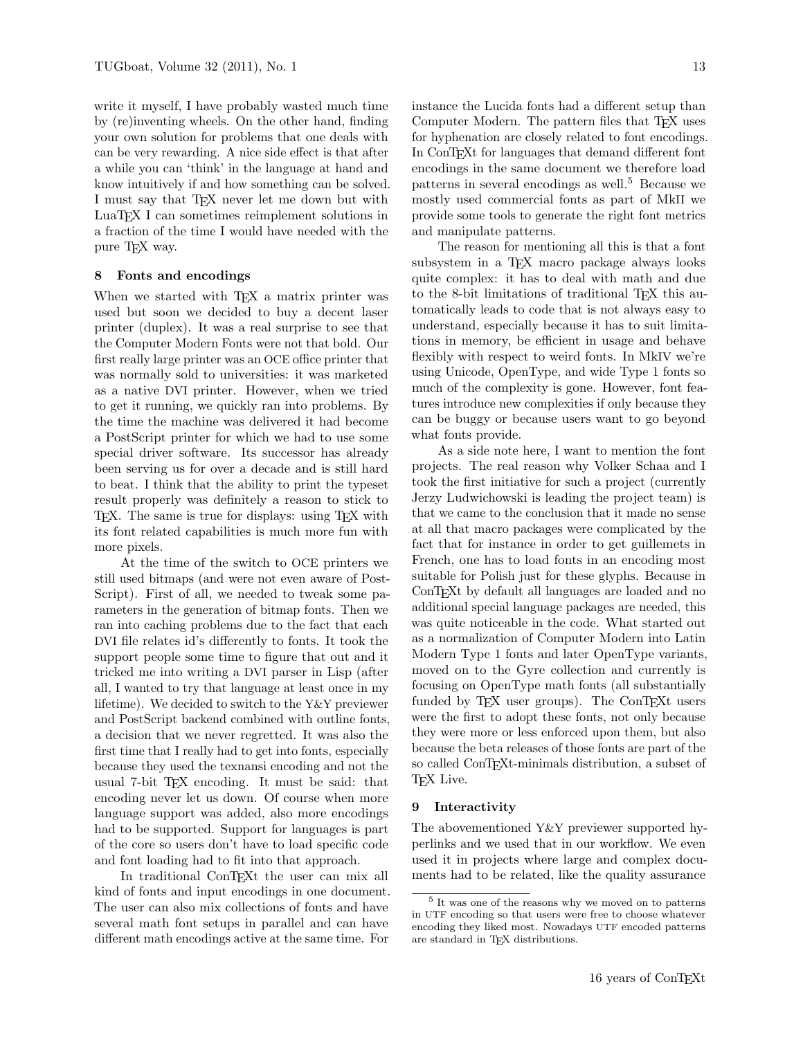write it myself, I have probably wasted much time by (re)inventing wheels. On the other hand, finding your own solution for problems that one deals with can be very rewarding. A nice side effect is that after a while you can 'think' in the language at hand and know intuitively if and how something can be solved. I must say that T<sub>F</sub>X never let me down but with LuaTEX I can sometimes reimplement solutions in a fraction of the time I would have needed with the pure T<sub>F</sub>X way.

#### 8 Fonts and encodings

When we started with T<sub>E</sub>X a matrix printer was used but soon we decided to buy a decent laser printer (duplex). It was a real surprise to see that the Computer Modern Fonts were not that bold. Our first really large printer was an OCE office printer that was normally sold to universities: it was marketed as a native DVI printer. However, when we tried to get it running, we quickly ran into problems. By the time the machine was delivered it had become a PostScript printer for which we had to use some special driver software. Its successor has already been serving us for over a decade and is still hard to beat. I think that the ability to print the typeset result properly was definitely a reason to stick to TEX. The same is true for displays: using TEX with its font related capabilities is much more fun with more pixels.

At the time of the switch to OCE printers we still used bitmaps (and were not even aware of Post-Script). First of all, we needed to tweak some parameters in the generation of bitmap fonts. Then we ran into caching problems due to the fact that each DVI file relates id's differently to fonts. It took the support people some time to figure that out and it tricked me into writing a DVI parser in Lisp (after all, I wanted to try that language at least once in my lifetime). We decided to switch to the Y&Y previewer and PostScript backend combined with outline fonts, a decision that we never regretted. It was also the first time that I really had to get into fonts, especially because they used the texnansi encoding and not the usual 7-bit TEX encoding. It must be said: that encoding never let us down. Of course when more language support was added, also more encodings had to be supported. Support for languages is part of the core so users don't have to load specific code and font loading had to fit into that approach.

In traditional ConTEXt the user can mix all kind of fonts and input encodings in one document. The user can also mix collections of fonts and have several math font setups in parallel and can have different math encodings active at the same time. For

instance the Lucida fonts had a different setup than Computer Modern. The pattern files that T<sub>E</sub>X uses for hyphenation are closely related to font encodings. In ConTEXt for languages that demand different font encodings in the same document we therefore load patterns in several encodings as well.<sup>5</sup> Because we mostly used commercial fonts as part of MkII we provide some tools to generate the right font metrics and manipulate patterns.

The reason for mentioning all this is that a font subsystem in a T<sub>EX</sub> macro package always looks quite complex: it has to deal with math and due to the 8-bit limitations of traditional T<sub>EX</sub> this automatically leads to code that is not always easy to understand, especially because it has to suit limitations in memory, be efficient in usage and behave flexibly with respect to weird fonts. In MkIV we're using Unicode, OpenType, and wide Type 1 fonts so much of the complexity is gone. However, font features introduce new complexities if only because they can be buggy or because users want to go beyond what fonts provide.

As a side note here, I want to mention the font projects. The real reason why Volker Schaa and I took the first initiative for such a project (currently Jerzy Ludwichowski is leading the project team) is that we came to the conclusion that it made no sense at all that macro packages were complicated by the fact that for instance in order to get guillemets in French, one has to load fonts in an encoding most suitable for Polish just for these glyphs. Because in ConTEXt by default all languages are loaded and no additional special language packages are needed, this was quite noticeable in the code. What started out as a normalization of Computer Modern into Latin Modern Type 1 fonts and later OpenType variants, moved on to the Gyre collection and currently is focusing on OpenType math fonts (all substantially funded by T<sub>F</sub>X user groups). The ConT<sub>F</sub>Xt users were the first to adopt these fonts, not only because they were more or less enforced upon them, but also because the beta releases of those fonts are part of the so called ConT<sub>E</sub>Xt-minimals distribution, a subset of T<sub>F</sub>X Live.

#### 9 Interactivity

The abovementioned Y&Y previewer supported hyperlinks and we used that in our workflow. We even used it in projects where large and complex documents had to be related, like the quality assurance

<sup>5</sup> It was one of the reasons why we moved on to patterns in UTF encoding so that users were free to choose whatever encoding they liked most. Nowadays UTF encoded patterns are standard in TFX distributions.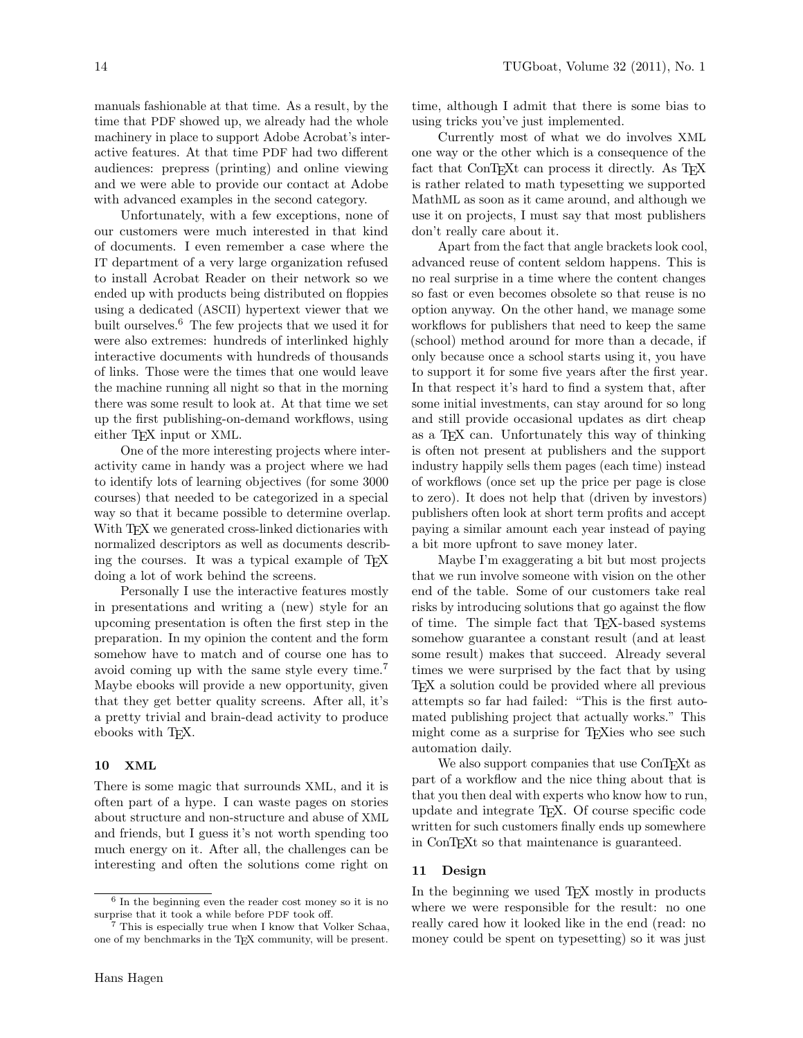manuals fashionable at that time. As a result, by the time that PDF showed up, we already had the whole machinery in place to support Adobe Acrobat's interactive features. At that time PDF had two different audiences: prepress (printing) and online viewing and we were able to provide our contact at Adobe with advanced examples in the second category.

Unfortunately, with a few exceptions, none of our customers were much interested in that kind of documents. I even remember a case where the IT department of a very large organization refused to install Acrobat Reader on their network so we ended up with products being distributed on floppies using a dedicated (ASCII) hypertext viewer that we built ourselves.<sup>6</sup> The few projects that we used it for were also extremes: hundreds of interlinked highly interactive documents with hundreds of thousands of links. Those were the times that one would leave the machine running all night so that in the morning there was some result to look at. At that time we set up the first publishing-on-demand workflows, using either T<sub>F</sub>X input or XML.

One of the more interesting projects where interactivity came in handy was a project where we had to identify lots of learning objectives (for some 3000 courses) that needed to be categorized in a special way so that it became possible to determine overlap. With T<sub>EX</sub> we generated cross-linked dictionaries with normalized descriptors as well as documents describing the courses. It was a typical example of T<sub>EX</sub> doing a lot of work behind the screens.

Personally I use the interactive features mostly in presentations and writing a (new) style for an upcoming presentation is often the first step in the preparation. In my opinion the content and the form somehow have to match and of course one has to avoid coming up with the same style every time.<sup>7</sup> Maybe ebooks will provide a new opportunity, given that they get better quality screens. After all, it's a pretty trivial and brain-dead activity to produce ebooks with T<sub>F</sub>X.

## 10 XML

There is some magic that surrounds XML, and it is often part of a hype. I can waste pages on stories about structure and non-structure and abuse of XML and friends, but I guess it's not worth spending too much energy on it. After all, the challenges can be interesting and often the solutions come right on

time, although I admit that there is some bias to using tricks you've just implemented.

Currently most of what we do involves XML one way or the other which is a consequence of the fact that ConTEXt can process it directly. As TEX is rather related to math typesetting we supported MathML as soon as it came around, and although we use it on projects, I must say that most publishers don't really care about it.

Apart from the fact that angle brackets look cool, advanced reuse of content seldom happens. This is no real surprise in a time where the content changes so fast or even becomes obsolete so that reuse is no option anyway. On the other hand, we manage some workflows for publishers that need to keep the same (school) method around for more than a decade, if only because once a school starts using it, you have to support it for some five years after the first year. In that respect it's hard to find a system that, after some initial investments, can stay around for so long and still provide occasional updates as dirt cheap as a T<sub>F</sub>X can. Unfortunately this way of thinking is often not present at publishers and the support industry happily sells them pages (each time) instead of workflows (once set up the price per page is close to zero). It does not help that (driven by investors) publishers often look at short term profits and accept paying a similar amount each year instead of paying a bit more upfront to save money later.

Maybe I'm exaggerating a bit but most projects that we run involve someone with vision on the other end of the table. Some of our customers take real risks by introducing solutions that go against the flow of time. The simple fact that TEX-based systems somehow guarantee a constant result (and at least some result) makes that succeed. Already several times we were surprised by the fact that by using TEX a solution could be provided where all previous attempts so far had failed: "This is the first automated publishing project that actually works." This might come as a surprise for T<sub>EX</sub>ies who see such automation daily.

We also support companies that use ConT<sub>EX</sub>t as part of a workflow and the nice thing about that is that you then deal with experts who know how to run, update and integrate TEX. Of course specific code written for such customers finally ends up somewhere in ConTEXt so that maintenance is guaranteed.

#### 11 Design

In the beginning we used TEX mostly in products where we were responsible for the result: no one really cared how it looked like in the end (read: no money could be spent on typesetting) so it was just

<sup>6</sup> In the beginning even the reader cost money so it is no surprise that it took a while before PDF took off.

<sup>&</sup>lt;sup>7</sup> This is especially true when I know that Volker Schaa, one of my benchmarks in the TFX community, will be present.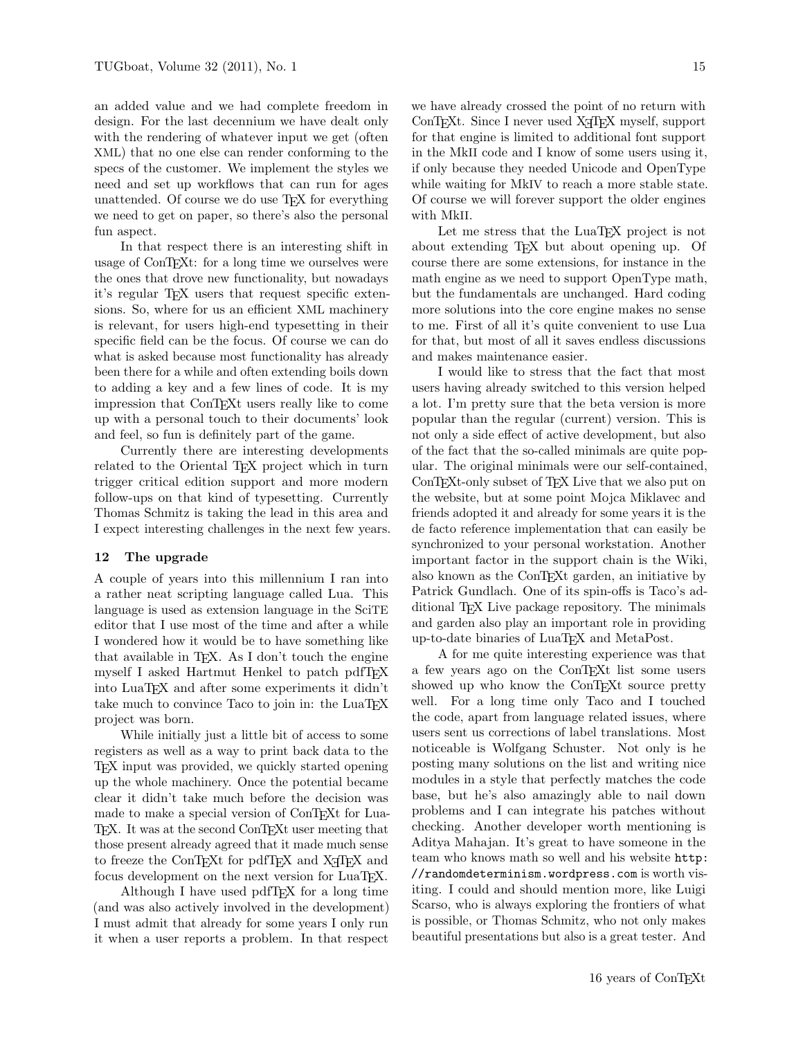an added value and we had complete freedom in design. For the last decennium we have dealt only with the rendering of whatever input we get (often XML) that no one else can render conforming to the specs of the customer. We implement the styles we need and set up workflows that can run for ages unattended. Of course we do use TEX for everything we need to get on paper, so there's also the personal fun aspect.

In that respect there is an interesting shift in usage of ConT<sub>EX</sub>t: for a long time we ourselves were the ones that drove new functionality, but nowadays it's regular TEX users that request specific extensions. So, where for us an efficient XML machinery is relevant, for users high-end typesetting in their specific field can be the focus. Of course we can do what is asked because most functionality has already been there for a while and often extending boils down to adding a key and a few lines of code. It is my impression that ConTEXt users really like to come up with a personal touch to their documents' look and feel, so fun is definitely part of the game.

Currently there are interesting developments related to the Oriental T<sub>EX</sub> project which in turn trigger critical edition support and more modern follow-ups on that kind of typesetting. Currently Thomas Schmitz is taking the lead in this area and I expect interesting challenges in the next few years.

#### 12 The upgrade

A couple of years into this millennium I ran into a rather neat scripting language called Lua. This language is used as extension language in the SciTE editor that I use most of the time and after a while I wondered how it would be to have something like that available in T<sub>E</sub>X. As I don't touch the engine myself I asked Hartmut Henkel to patch pdfTFX into LuaTEX and after some experiments it didn't take much to convince Taco to join in: the LuaTFX project was born.

While initially just a little bit of access to some registers as well as a way to print back data to the TEX input was provided, we quickly started opening up the whole machinery. Once the potential became clear it didn't take much before the decision was made to make a special version of ConTEXt for Lua-TEX. It was at the second ConTEXt user meeting that those present already agreed that it made much sense to freeze the ConTEXt for pdfTEX and X<sub>T</sub>TEX and focus development on the next version for LuaTEX.

Although I have used pdfT<sub>F</sub>X for a long time (and was also actively involved in the development) I must admit that already for some years I only run it when a user reports a problem. In that respect we have already crossed the point of no return with ConTEXt. Since I never used X<sub>T</sub>TEX myself, support for that engine is limited to additional font support in the MkII code and I know of some users using it, if only because they needed Unicode and OpenType while waiting for MkIV to reach a more stable state. Of course we will forever support the older engines with MkII.

Let me stress that the LuaT<sub>EX</sub> project is not about extending T<sub>EX</sub> but about opening up. Of course there are some extensions, for instance in the math engine as we need to support OpenType math, but the fundamentals are unchanged. Hard coding more solutions into the core engine makes no sense to me. First of all it's quite convenient to use Lua for that, but most of all it saves endless discussions and makes maintenance easier.

I would like to stress that the fact that most users having already switched to this version helped a lot. I'm pretty sure that the beta version is more popular than the regular (current) version. This is not only a side effect of active development, but also of the fact that the so-called minimals are quite popular. The original minimals were our self-contained, ConTEXt-only subset of TEX Live that we also put on the website, but at some point Mojca Miklavec and friends adopted it and already for some years it is the de facto reference implementation that can easily be synchronized to your personal workstation. Another important factor in the support chain is the Wiki, also known as the ConTEXt garden, an initiative by Patrick Gundlach. One of its spin-offs is Taco's additional TEX Live package repository. The minimals and garden also play an important role in providing up-to-date binaries of LuaTEX and MetaPost.

A for me quite interesting experience was that a few years ago on the ConTEXt list some users showed up who know the ConTEXt source pretty well. For a long time only Taco and I touched the code, apart from language related issues, where users sent us corrections of label translations. Most noticeable is Wolfgang Schuster. Not only is he posting many solutions on the list and writing nice modules in a style that perfectly matches the code base, but he's also amazingly able to nail down problems and I can integrate his patches without checking. Another developer worth mentioning is Aditya Mahajan. It's great to have someone in the team who knows math so well and his website http: //randomdeterminism.wordpress.com is worth visiting. I could and should mention more, like Luigi Scarso, who is always exploring the frontiers of what is possible, or Thomas Schmitz, who not only makes beautiful presentations but also is a great tester. And